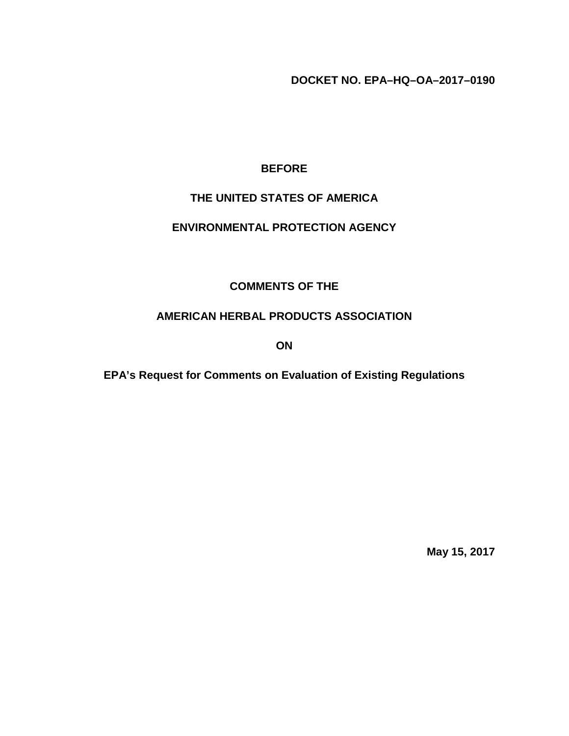**DOCKET NO. EPA–HQ–OA–2017–0190**

### **BEFORE**

#### **THE UNITED STATES OF AMERICA**

#### **ENVIRONMENTAL PROTECTION AGENCY**

#### **COMMENTS OF THE**

#### **AMERICAN HERBAL PRODUCTS ASSOCIATION**

**ON**

**EPA's Request for Comments on Evaluation of Existing Regulations**

**May 15, 2017**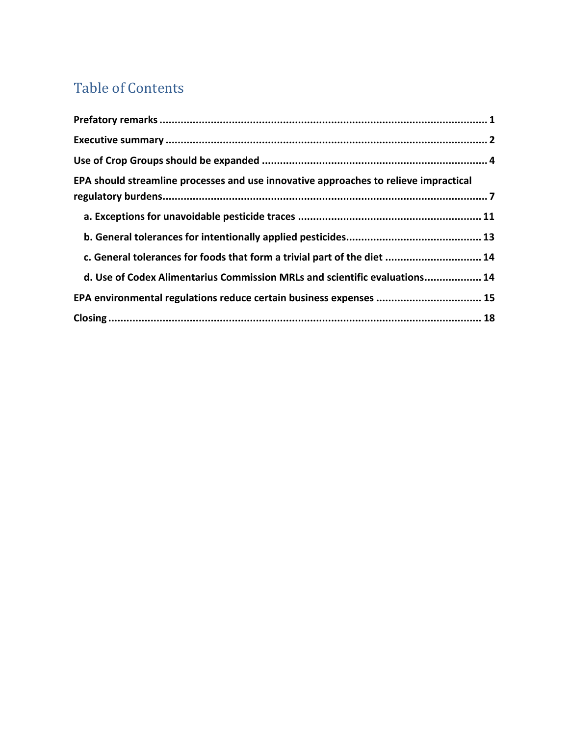# Table of Contents

| EPA should streamline processes and use innovative approaches to relieve impractical |  |
|--------------------------------------------------------------------------------------|--|
|                                                                                      |  |
|                                                                                      |  |
| c. General tolerances for foods that form a trivial part of the diet  14             |  |
| d. Use of Codex Alimentarius Commission MRLs and scientific evaluations 14           |  |
|                                                                                      |  |
|                                                                                      |  |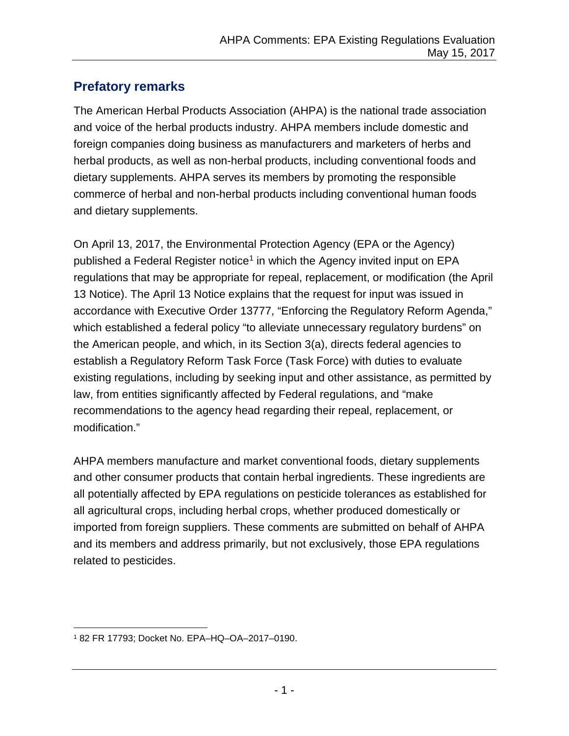## <span id="page-2-0"></span>**Prefatory remarks**

The American Herbal Products Association (AHPA) is the national trade association and voice of the herbal products industry. AHPA members include domestic and foreign companies doing business as manufacturers and marketers of herbs and herbal products, as well as non-herbal products, including conventional foods and dietary supplements. AHPA serves its members by promoting the responsible commerce of herbal and non-herbal products including conventional human foods and dietary supplements.

On April 13, 2017, the Environmental Protection Agency (EPA or the Agency) published a Federal Register notice<sup>1</sup> in which the Agency invited input on EPA regulations that may be appropriate for repeal, replacement, or modification (the April 13 Notice). The April 13 Notice explains that the request for input was issued in accordance with Executive Order 13777, "Enforcing the Regulatory Reform Agenda," which established a federal policy "to alleviate unnecessary regulatory burdens" on the American people, and which, in its Section 3(a), directs federal agencies to establish a Regulatory Reform Task Force (Task Force) with duties to evaluate existing regulations, including by seeking input and other assistance, as permitted by law, from entities significantly affected by Federal regulations, and "make recommendations to the agency head regarding their repeal, replacement, or modification."

AHPA members manufacture and market conventional foods, dietary supplements and other consumer products that contain herbal ingredients. These ingredients are all potentially affected by EPA regulations on pesticide tolerances as established for all agricultural crops, including herbal crops, whether produced domestically or imported from foreign suppliers. These comments are submitted on behalf of AHPA and its members and address primarily, but not exclusively, those EPA regulations related to pesticides.

<span id="page-2-1"></span> <sup>1</sup> <sup>82</sup> FR 17793; Docket No. EPA–HQ–OA–2017–0190.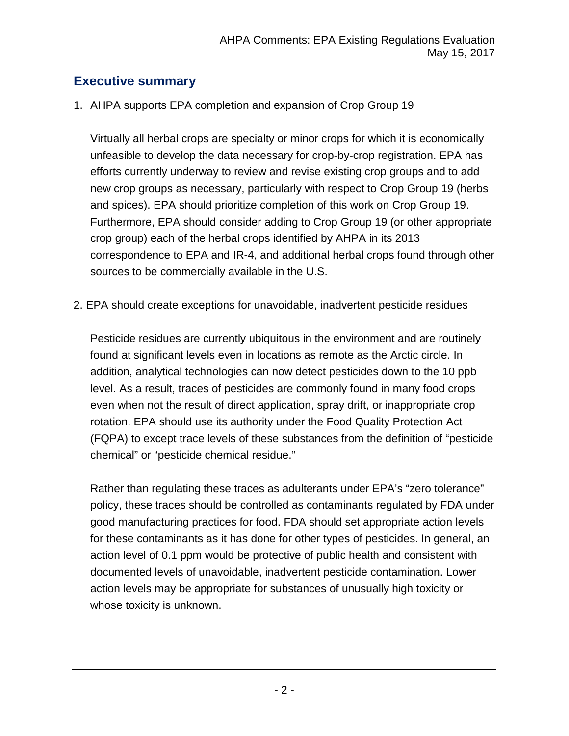## <span id="page-3-0"></span>**Executive summary**

1. AHPA supports EPA completion and expansion of Crop Group 19

Virtually all herbal crops are specialty or minor crops for which it is economically unfeasible to develop the data necessary for crop-by-crop registration. EPA has efforts currently underway to review and revise existing crop groups and to add new crop groups as necessary, particularly with respect to Crop Group 19 (herbs and spices). EPA should prioritize completion of this work on Crop Group 19. Furthermore, EPA should consider adding to Crop Group 19 (or other appropriate crop group) each of the herbal crops identified by AHPA in its 2013 correspondence to EPA and IR-4, and additional herbal crops found through other sources to be commercially available in the U.S.

2. EPA should create exceptions for unavoidable, inadvertent pesticide residues

Pesticide residues are currently ubiquitous in the environment and are routinely found at significant levels even in locations as remote as the Arctic circle. In addition, analytical technologies can now detect pesticides down to the 10 ppb level. As a result, traces of pesticides are commonly found in many food crops even when not the result of direct application, spray drift, or inappropriate crop rotation. EPA should use its authority under the Food Quality Protection Act (FQPA) to except trace levels of these substances from the definition of "pesticide chemical" or "pesticide chemical residue."

Rather than regulating these traces as adulterants under EPA's "zero tolerance" policy, these traces should be controlled as contaminants regulated by FDA under good manufacturing practices for food. FDA should set appropriate action levels for these contaminants as it has done for other types of pesticides. In general, an action level of 0.1 ppm would be protective of public health and consistent with documented levels of unavoidable, inadvertent pesticide contamination. Lower action levels may be appropriate for substances of unusually high toxicity or whose toxicity is unknown.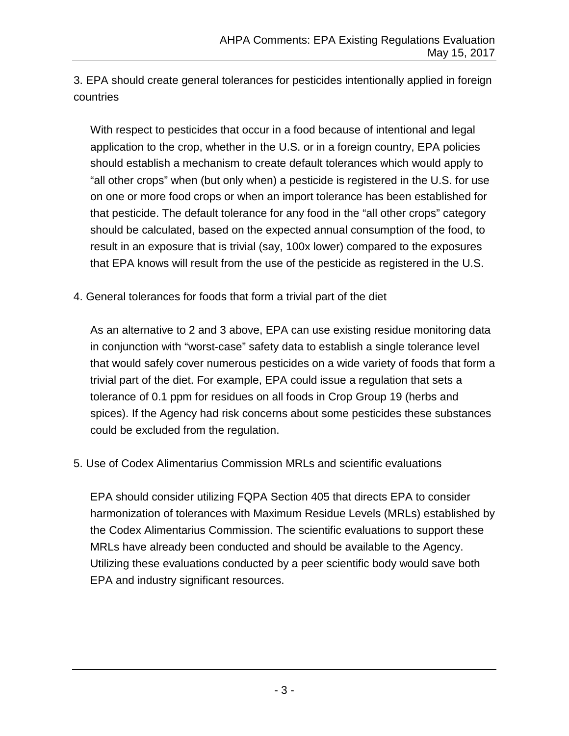3. EPA should create general tolerances for pesticides intentionally applied in foreign countries

With respect to pesticides that occur in a food because of intentional and legal application to the crop, whether in the U.S. or in a foreign country, EPA policies should establish a mechanism to create default tolerances which would apply to "all other crops" when (but only when) a pesticide is registered in the U.S. for use on one or more food crops or when an import tolerance has been established for that pesticide. The default tolerance for any food in the "all other crops" category should be calculated, based on the expected annual consumption of the food, to result in an exposure that is trivial (say, 100x lower) compared to the exposures that EPA knows will result from the use of the pesticide as registered in the U.S.

4. General tolerances for foods that form a trivial part of the diet

As an alternative to 2 and 3 above, EPA can use existing residue monitoring data in conjunction with "worst-case" safety data to establish a single tolerance level that would safely cover numerous pesticides on a wide variety of foods that form a trivial part of the diet. For example, EPA could issue a regulation that sets a tolerance of 0.1 ppm for residues on all foods in Crop Group 19 (herbs and spices). If the Agency had risk concerns about some pesticides these substances could be excluded from the regulation.

5. Use of Codex Alimentarius Commission MRLs and scientific evaluations

EPA should consider utilizing FQPA Section 405 that directs EPA to consider harmonization of tolerances with Maximum Residue Levels (MRLs) established by the Codex Alimentarius Commission. The scientific evaluations to support these MRLs have already been conducted and should be available to the Agency. Utilizing these evaluations conducted by a peer scientific body would save both EPA and industry significant resources.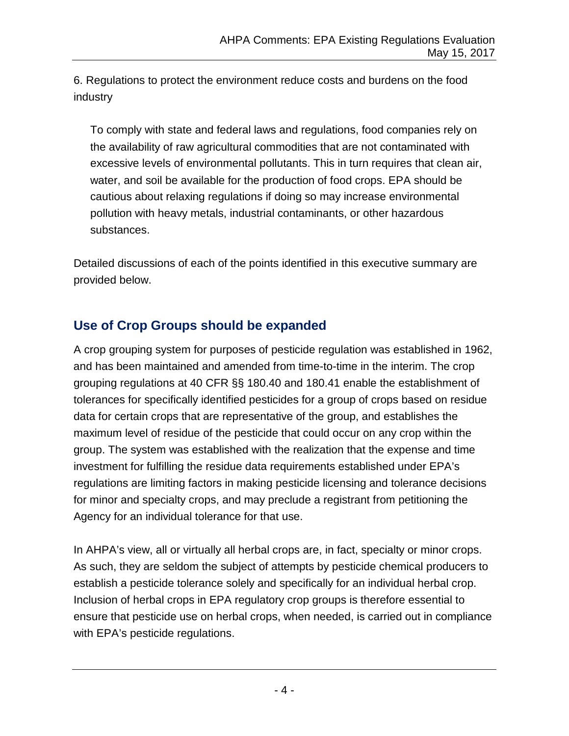6. Regulations to protect the environment reduce costs and burdens on the food industry

To comply with state and federal laws and regulations, food companies rely on the availability of raw agricultural commodities that are not contaminated with excessive levels of environmental pollutants. This in turn requires that clean air, water, and soil be available for the production of food crops. EPA should be cautious about relaxing regulations if doing so may increase environmental pollution with heavy metals, industrial contaminants, or other hazardous substances.

Detailed discussions of each of the points identified in this executive summary are provided below.

## <span id="page-5-0"></span>**Use of Crop Groups should be expanded**

A crop grouping system for purposes of pesticide regulation was established in 1962, and has been maintained and amended from time-to-time in the interim. The crop grouping regulations at 40 CFR §§ 180.40 and 180.41 enable the establishment of tolerances for specifically identified pesticides for a group of crops based on residue data for certain crops that are representative of the group, and establishes the maximum level of residue of the pesticide that could occur on any crop within the group. The system was established with the realization that the expense and time investment for fulfilling the residue data requirements established under EPA's regulations are limiting factors in making pesticide licensing and tolerance decisions for minor and specialty crops, and may preclude a registrant from petitioning the Agency for an individual tolerance for that use.

In AHPA's view, all or virtually all herbal crops are, in fact, specialty or minor crops. As such, they are seldom the subject of attempts by pesticide chemical producers to establish a pesticide tolerance solely and specifically for an individual herbal crop. Inclusion of herbal crops in EPA regulatory crop groups is therefore essential to ensure that pesticide use on herbal crops, when needed, is carried out in compliance with EPA's pesticide regulations.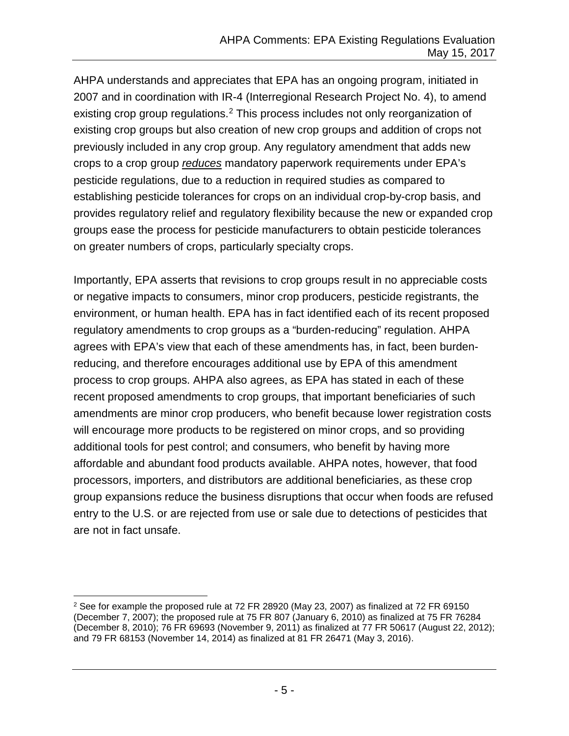AHPA understands and appreciates that EPA has an ongoing program, initiated in 2007 and in coordination with IR-4 (Interregional Research Project No. 4), to amend existing crop group regulations.<sup>[2](#page-6-0)</sup> This process includes not only reorganization of existing crop groups but also creation of new crop groups and addition of crops not previously included in any crop group. Any regulatory amendment that adds new crops to a crop group *reduces* mandatory paperwork requirements under EPA's pesticide regulations, due to a reduction in required studies as compared to establishing pesticide tolerances for crops on an individual crop-by-crop basis, and provides regulatory relief and regulatory flexibility because the new or expanded crop groups ease the process for pesticide manufacturers to obtain pesticide tolerances on greater numbers of crops, particularly specialty crops.

Importantly, EPA asserts that revisions to crop groups result in no appreciable costs or negative impacts to consumers, minor crop producers, pesticide registrants, the environment, or human health. EPA has in fact identified each of its recent proposed regulatory amendments to crop groups as a "burden-reducing" regulation. AHPA agrees with EPA's view that each of these amendments has, in fact, been burdenreducing, and therefore encourages additional use by EPA of this amendment process to crop groups. AHPA also agrees, as EPA has stated in each of these recent proposed amendments to crop groups, that important beneficiaries of such amendments are minor crop producers, who benefit because lower registration costs will encourage more products to be registered on minor crops, and so providing additional tools for pest control; and consumers, who benefit by having more affordable and abundant food products available. AHPA notes, however, that food processors, importers, and distributors are additional beneficiaries, as these crop group expansions reduce the business disruptions that occur when foods are refused entry to the U.S. or are rejected from use or sale due to detections of pesticides that are not in fact unsafe.

<span id="page-6-0"></span><sup>&</sup>lt;sup>2</sup> See for example the proposed rule at 72 FR 28920 (May 23, 2007) as finalized at 72 FR 69150 (December 7, 2007); the proposed rule at 75 FR 807 (January 6, 2010) as finalized at 75 FR 76284 (December 8, 2010); 76 FR 69693 (November 9, 2011) as finalized at 77 FR 50617 (August 22, 2012); and 79 FR 68153 (November 14, 2014) as finalized at 81 FR 26471 (May 3, 2016).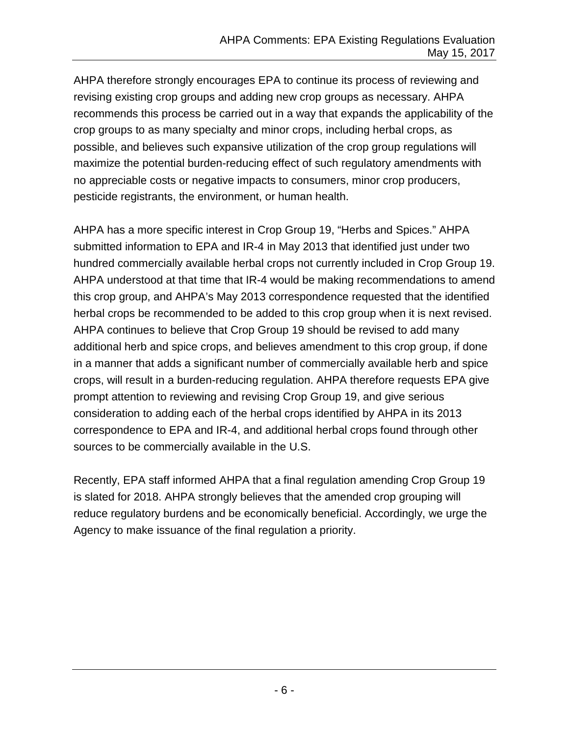AHPA therefore strongly encourages EPA to continue its process of reviewing and revising existing crop groups and adding new crop groups as necessary. AHPA recommends this process be carried out in a way that expands the applicability of the crop groups to as many specialty and minor crops, including herbal crops, as possible, and believes such expansive utilization of the crop group regulations will maximize the potential burden-reducing effect of such regulatory amendments with no appreciable costs or negative impacts to consumers, minor crop producers, pesticide registrants, the environment, or human health.

AHPA has a more specific interest in Crop Group 19, "Herbs and Spices." AHPA submitted information to EPA and IR-4 in May 2013 that identified just under two hundred commercially available herbal crops not currently included in Crop Group 19. AHPA understood at that time that IR-4 would be making recommendations to amend this crop group, and AHPA's May 2013 correspondence requested that the identified herbal crops be recommended to be added to this crop group when it is next revised. AHPA continues to believe that Crop Group 19 should be revised to add many additional herb and spice crops, and believes amendment to this crop group, if done in a manner that adds a significant number of commercially available herb and spice crops, will result in a burden-reducing regulation. AHPA therefore requests EPA give prompt attention to reviewing and revising Crop Group 19, and give serious consideration to adding each of the herbal crops identified by AHPA in its 2013 correspondence to EPA and IR-4, and additional herbal crops found through other sources to be commercially available in the U.S.

Recently, EPA staff informed AHPA that a final regulation amending Crop Group 19 is slated for 2018. AHPA strongly believes that the amended crop grouping will reduce regulatory burdens and be economically beneficial. Accordingly, we urge the Agency to make issuance of the final regulation a priority.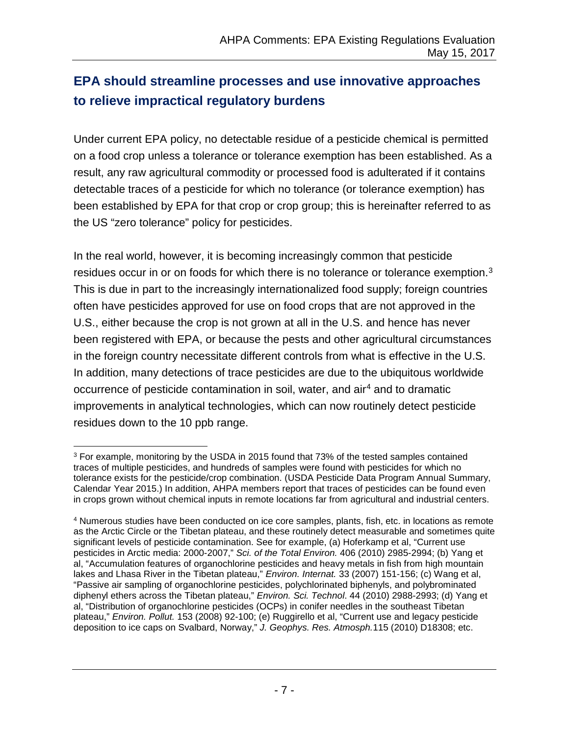# <span id="page-8-0"></span>**EPA should streamline processes and use innovative approaches to relieve impractical regulatory burdens**

Under current EPA policy, no detectable residue of a pesticide chemical is permitted on a food crop unless a tolerance or tolerance exemption has been established. As a result, any raw agricultural commodity or processed food is adulterated if it contains detectable traces of a pesticide for which no tolerance (or tolerance exemption) has been established by EPA for that crop or crop group; this is hereinafter referred to as the US "zero tolerance" policy for pesticides.

In the real world, however, it is becoming increasingly common that pesticide residues occur in or on foods for which there is no tolerance or tolerance exemption.<sup>[3](#page-8-1)</sup> This is due in part to the increasingly internationalized food supply; foreign countries often have pesticides approved for use on food crops that are not approved in the U.S., either because the crop is not grown at all in the U.S. and hence has never been registered with EPA, or because the pests and other agricultural circumstances in the foreign country necessitate different controls from what is effective in the U.S. In addition, many detections of trace pesticides are due to the ubiquitous worldwide occurrence of pesticide contamination in soil, water, and air<sup>[4](#page-8-2)</sup> and to dramatic improvements in analytical technologies, which can now routinely detect pesticide residues down to the 10 ppb range.

<span id="page-8-1"></span> <sup>3</sup> For example, monitoring by the USDA in 2015 found that 73% of the tested samples contained traces of multiple pesticides, and hundreds of samples were found with pesticides for which no tolerance exists for the pesticide/crop combination. (USDA Pesticide Data Program Annual Summary, Calendar Year 2015.) In addition, AHPA members report that traces of pesticides can be found even in crops grown without chemical inputs in remote locations far from agricultural and industrial centers.

<span id="page-8-2"></span><sup>4</sup> Numerous studies have been conducted on ice core samples, plants, fish, etc. in locations as remote as the Arctic Circle or the Tibetan plateau, and these routinely detect measurable and sometimes quite significant levels of pesticide contamination. See for example, (a) Hoferkamp et al, "Current use pesticides in Arctic media: 2000-2007," *Sci. of the Total Environ.* 406 (2010) 2985-2994; (b) Yang et al, "Accumulation features of organochlorine pesticides and heavy metals in fish from high mountain lakes and Lhasa River in the Tibetan plateau," *Environ. Internat.* 33 (2007) 151-156; (c) Wang et al, "Passive air sampling of organochlorine pesticides, polychlorinated biphenyls, and polybrominated diphenyl ethers across the Tibetan plateau," *Environ. Sci. Technol*. 44 (2010) 2988-2993; (d) Yang et al, "Distribution of organochlorine pesticides (OCPs) in conifer needles in the southeast Tibetan plateau," *Environ. Pollut.* 153 (2008) 92-100; (e) Ruggirello et al, "Current use and legacy pesticide deposition to ice caps on Svalbard, Norway," *J. Geophys. Res. Atmosph.*115 (2010) D18308; etc.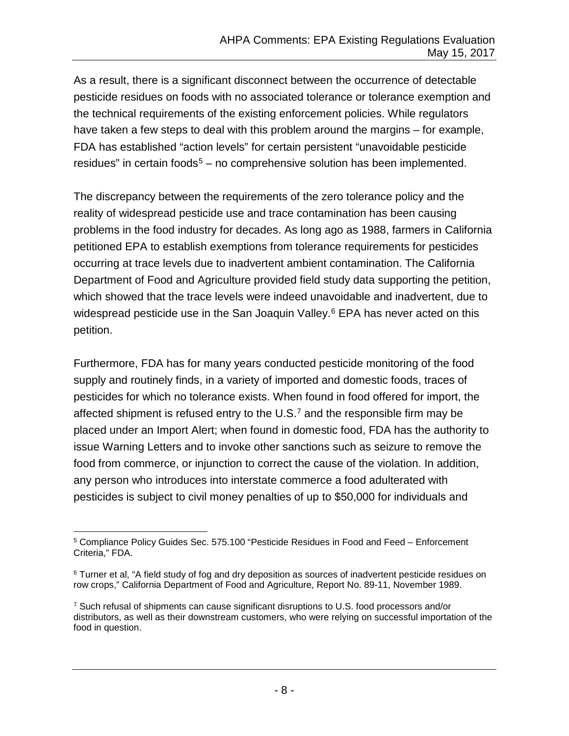As a result, there is a significant disconnect between the occurrence of detectable pesticide residues on foods with no associated tolerance or tolerance exemption and the technical requirements of the existing enforcement policies. While regulators have taken a few steps to deal with this problem around the margins – for example, FDA has established "action levels" for certain persistent "unavoidable pesticide residues" in certain foods<sup>[5](#page-9-0)</sup> – no comprehensive solution has been implemented.

The discrepancy between the requirements of the zero tolerance policy and the reality of widespread pesticide use and trace contamination has been causing problems in the food industry for decades. As long ago as 1988, farmers in California petitioned EPA to establish exemptions from tolerance requirements for pesticides occurring at trace levels due to inadvertent ambient contamination. The California Department of Food and Agriculture provided field study data supporting the petition, which showed that the trace levels were indeed unavoidable and inadvertent, due to widespread pesticide use in the San Joaquin Valley. $6$  EPA has never acted on this petition.

Furthermore, FDA has for many years conducted pesticide monitoring of the food supply and routinely finds, in a variety of imported and domestic foods, traces of pesticides for which no tolerance exists. When found in food offered for import, the affected shipment is refused entry to the  $U.S.^7$  $U.S.^7$  and the responsible firm may be placed under an Import Alert; when found in domestic food, FDA has the authority to issue Warning Letters and to invoke other sanctions such as seizure to remove the food from commerce, or injunction to correct the cause of the violation. In addition, any person who introduces into interstate commerce a food adulterated with pesticides is subject to civil money penalties of up to \$50,000 for individuals and

<span id="page-9-0"></span> <sup>5</sup> Compliance Policy Guides Sec. 575.100 "Pesticide Residues in Food and Feed – Enforcement Criteria," FDA.

<span id="page-9-1"></span><sup>6</sup> Turner et al, "A field study of fog and dry deposition as sources of inadvertent pesticide residues on row crops," California Department of Food and Agriculture, Report No. 89-11, November 1989.

<span id="page-9-2"></span><sup>7</sup> Such refusal of shipments can cause significant disruptions to U.S. food processors and/or distributors, as well as their downstream customers, who were relying on successful importation of the food in question.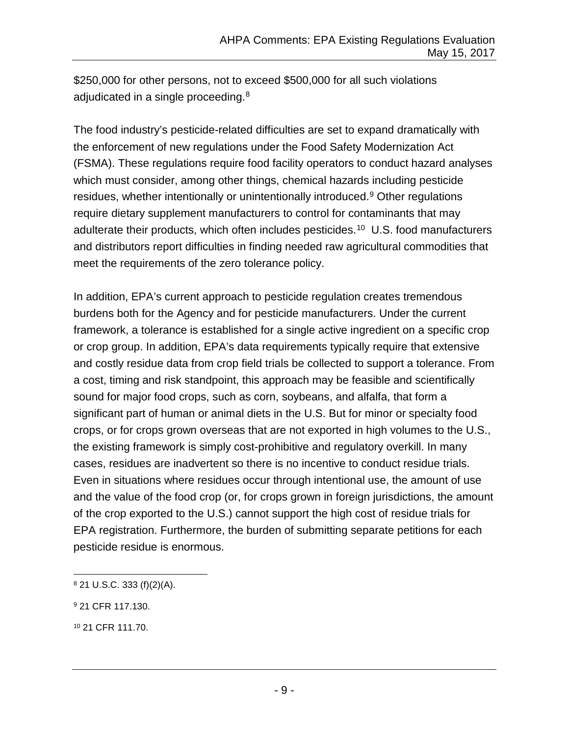\$250,000 for other persons, not to exceed \$500,000 for all such violations adjudicated in a single proceeding.<sup>[8](#page-10-0)</sup>

The food industry's pesticide-related difficulties are set to expand dramatically with the enforcement of new regulations under the Food Safety Modernization Act (FSMA). These regulations require food facility operators to conduct hazard analyses which must consider, among other things, chemical hazards including pesticide residues, whether intentionally or unintentionally introduced.<sup>[9](#page-10-1)</sup> Other regulations require dietary supplement manufacturers to control for contaminants that may adulterate their products, which often includes pesticides.<sup>10</sup> U.S. food manufacturers and distributors report difficulties in finding needed raw agricultural commodities that meet the requirements of the zero tolerance policy.

In addition, EPA's current approach to pesticide regulation creates tremendous burdens both for the Agency and for pesticide manufacturers. Under the current framework, a tolerance is established for a single active ingredient on a specific crop or crop group. In addition, EPA's data requirements typically require that extensive and costly residue data from crop field trials be collected to support a tolerance. From a cost, timing and risk standpoint, this approach may be feasible and scientifically sound for major food crops, such as corn, soybeans, and alfalfa, that form a significant part of human or animal diets in the U.S. But for minor or specialty food crops, or for crops grown overseas that are not exported in high volumes to the U.S., the existing framework is simply cost-prohibitive and regulatory overkill. In many cases, residues are inadvertent so there is no incentive to conduct residue trials. Even in situations where residues occur through intentional use, the amount of use and the value of the food crop (or, for crops grown in foreign jurisdictions, the amount of the crop exported to the U.S.) cannot support the high cost of residue trials for EPA registration. Furthermore, the burden of submitting separate petitions for each pesticide residue is enormous.

<span id="page-10-0"></span> <sup>8</sup> 21 U.S.C. 333 (f)(2)(A).

<span id="page-10-1"></span><sup>9</sup> 21 CFR 117.130.

<span id="page-10-2"></span><sup>10</sup> 21 CFR 111.70.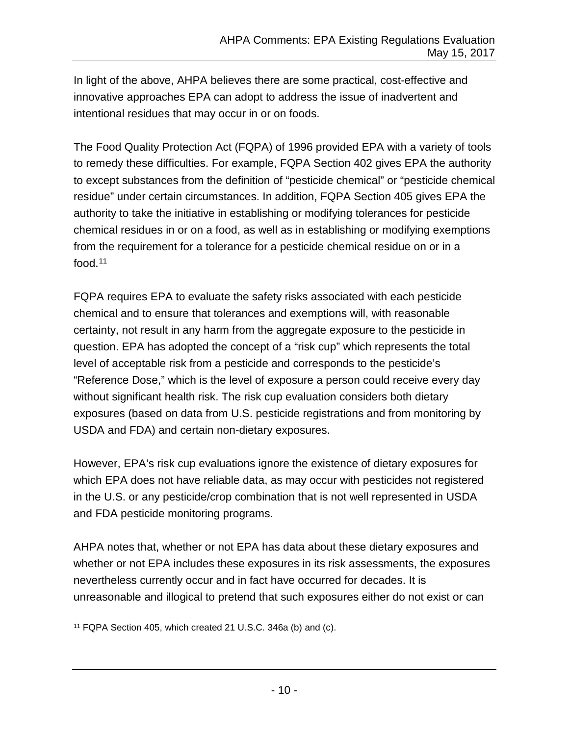In light of the above, AHPA believes there are some practical, cost-effective and innovative approaches EPA can adopt to address the issue of inadvertent and intentional residues that may occur in or on foods.

The Food Quality Protection Act (FQPA) of 1996 provided EPA with a variety of tools to remedy these difficulties. For example, FQPA Section 402 gives EPA the authority to except substances from the definition of "pesticide chemical" or "pesticide chemical residue" under certain circumstances. In addition, FQPA Section 405 gives EPA the authority to take the initiative in establishing or modifying tolerances for pesticide chemical residues in or on a food, as well as in establishing or modifying exemptions from the requirement for a tolerance for a pesticide chemical residue on or in a food.[11](#page-11-0)

FQPA requires EPA to evaluate the safety risks associated with each pesticide chemical and to ensure that tolerances and exemptions will, with reasonable certainty, not result in any harm from the aggregate exposure to the pesticide in question. EPA has adopted the concept of a "risk cup" which represents the total level of acceptable risk from a pesticide and corresponds to the pesticide's "Reference Dose," which is the level of exposure a person could receive every day without significant health risk. The risk cup evaluation considers both dietary exposures (based on data from U.S. pesticide registrations and from monitoring by USDA and FDA) and certain non-dietary exposures.

However, EPA's risk cup evaluations ignore the existence of dietary exposures for which EPA does not have reliable data, as may occur with pesticides not registered in the U.S. or any pesticide/crop combination that is not well represented in USDA and FDA pesticide monitoring programs.

AHPA notes that, whether or not EPA has data about these dietary exposures and whether or not EPA includes these exposures in its risk assessments, the exposures nevertheless currently occur and in fact have occurred for decades. It is unreasonable and illogical to pretend that such exposures either do not exist or can

<span id="page-11-0"></span> <sup>11</sup> FQPA Section 405, which created 21 U.S.C. 346a (b) and (c).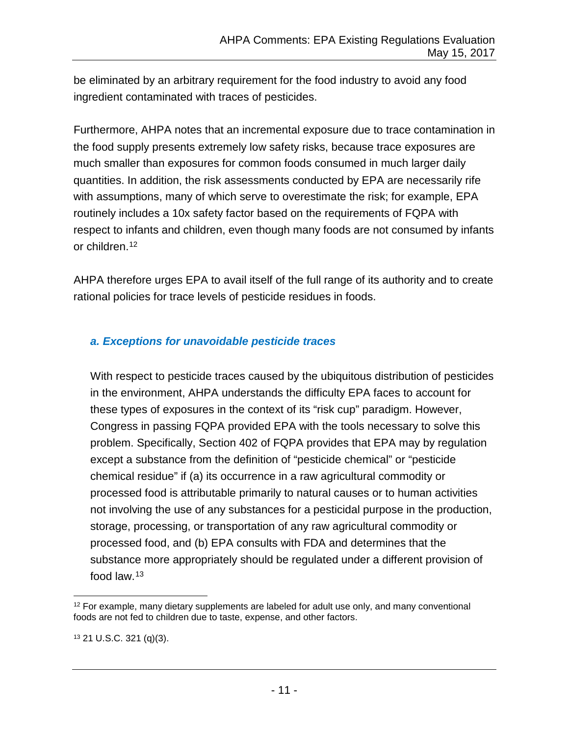be eliminated by an arbitrary requirement for the food industry to avoid any food ingredient contaminated with traces of pesticides.

Furthermore, AHPA notes that an incremental exposure due to trace contamination in the food supply presents extremely low safety risks, because trace exposures are much smaller than exposures for common foods consumed in much larger daily quantities. In addition, the risk assessments conducted by EPA are necessarily rife with assumptions, many of which serve to overestimate the risk; for example, EPA routinely includes a 10x safety factor based on the requirements of FQPA with respect to infants and children, even though many foods are not consumed by infants or children.[12](#page-12-1)

AHPA therefore urges EPA to avail itself of the full range of its authority and to create rational policies for trace levels of pesticide residues in foods.

### <span id="page-12-0"></span>*a. Exceptions for unavoidable pesticide traces*

With respect to pesticide traces caused by the ubiquitous distribution of pesticides in the environment, AHPA understands the difficulty EPA faces to account for these types of exposures in the context of its "risk cup" paradigm. However, Congress in passing FQPA provided EPA with the tools necessary to solve this problem. Specifically, Section 402 of FQPA provides that EPA may by regulation except a substance from the definition of "pesticide chemical" or "pesticide chemical residue" if (a) its occurrence in a raw agricultural commodity or processed food is attributable primarily to natural causes or to human activities not involving the use of any substances for a pesticidal purpose in the production, storage, processing, or transportation of any raw agricultural commodity or processed food, and (b) EPA consults with FDA and determines that the substance more appropriately should be regulated under a different provision of food law.[13](#page-12-2)

<span id="page-12-1"></span> $12$  For example, many dietary supplements are labeled for adult use only, and many conventional foods are not fed to children due to taste, expense, and other factors.

<span id="page-12-2"></span><sup>13</sup> 21 U.S.C. 321 (q)(3).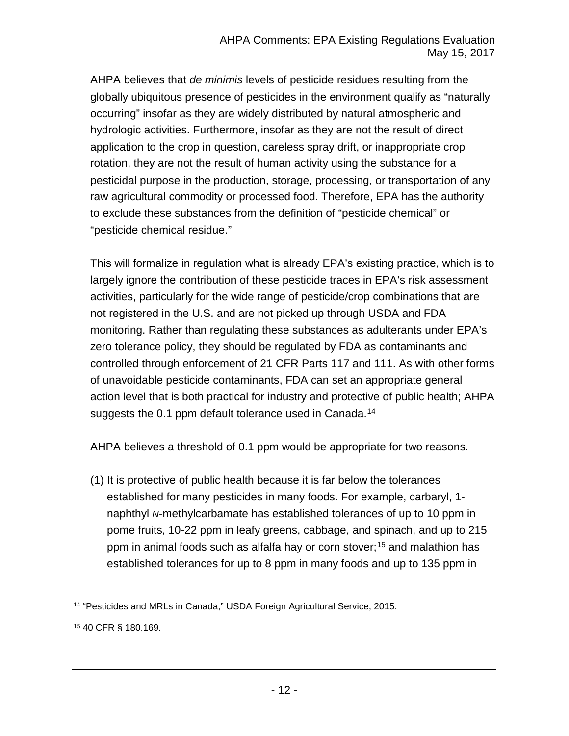AHPA believes that *de minimis* levels of pesticide residues resulting from the globally ubiquitous presence of pesticides in the environment qualify as "naturally occurring" insofar as they are widely distributed by natural atmospheric and hydrologic activities. Furthermore, insofar as they are not the result of direct application to the crop in question, careless spray drift, or inappropriate crop rotation, they are not the result of human activity using the substance for a pesticidal purpose in the production, storage, processing, or transportation of any raw agricultural commodity or processed food. Therefore, EPA has the authority to exclude these substances from the definition of "pesticide chemical" or "pesticide chemical residue."

This will formalize in regulation what is already EPA's existing practice, which is to largely ignore the contribution of these pesticide traces in EPA's risk assessment activities, particularly for the wide range of pesticide/crop combinations that are not registered in the U.S. and are not picked up through USDA and FDA monitoring. Rather than regulating these substances as adulterants under EPA's zero tolerance policy, they should be regulated by FDA as contaminants and controlled through enforcement of 21 CFR Parts 117 and 111. As with other forms of unavoidable pesticide contaminants, FDA can set an appropriate general action level that is both practical for industry and protective of public health; AHPA suggests the 0.1 ppm default tolerance used in Canada.<sup>[14](#page-13-0)</sup>

AHPA believes a threshold of 0.1 ppm would be appropriate for two reasons.

(1) It is protective of public health because it is far below the tolerances established for many pesticides in many foods. For example, carbaryl, 1 naphthyl *N*-methylcarbamate has established tolerances of up to 10 ppm in pome fruits, 10-22 ppm in leafy greens, cabbage, and spinach, and up to 215 ppm in animal foods such as alfalfa hay or corn stover;<sup>[15](#page-13-1)</sup> and malathion has established tolerances for up to 8 ppm in many foods and up to 135 ppm in

 $\overline{a}$ 

<span id="page-13-0"></span><sup>14</sup> "Pesticides and MRLs in Canada," USDA Foreign Agricultural Service, 2015.

<span id="page-13-1"></span><sup>15</sup> 40 CFR § 180.169.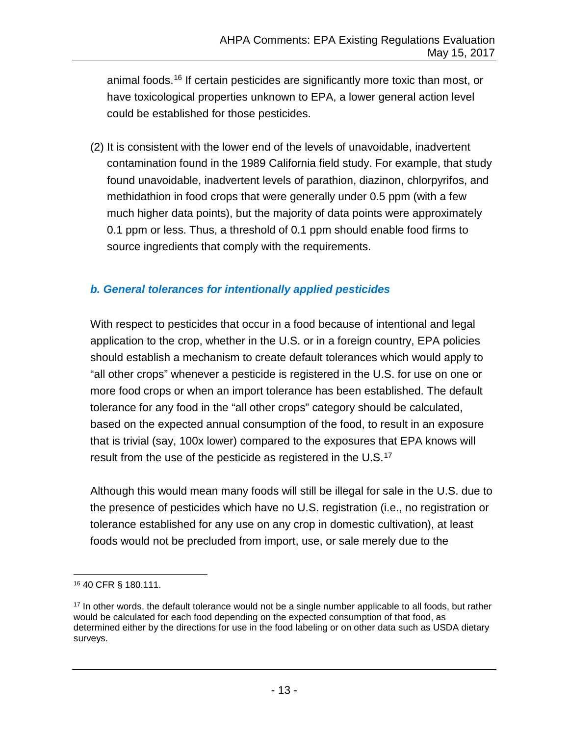animal foods.[16](#page-14-1) If certain pesticides are significantly more toxic than most, or have toxicological properties unknown to EPA, a lower general action level could be established for those pesticides.

(2) It is consistent with the lower end of the levels of unavoidable, inadvertent contamination found in the 1989 California field study. For example, that study found unavoidable, inadvertent levels of parathion, diazinon, chlorpyrifos, and methidathion in food crops that were generally under 0.5 ppm (with a few much higher data points), but the majority of data points were approximately 0.1 ppm or less. Thus, a threshold of 0.1 ppm should enable food firms to source ingredients that comply with the requirements.

### <span id="page-14-0"></span>*b. General tolerances for intentionally applied pesticides*

With respect to pesticides that occur in a food because of intentional and legal application to the crop, whether in the U.S. or in a foreign country, EPA policies should establish a mechanism to create default tolerances which would apply to "all other crops" whenever a pesticide is registered in the U.S. for use on one or more food crops or when an import tolerance has been established. The default tolerance for any food in the "all other crops" category should be calculated, based on the expected annual consumption of the food, to result in an exposure that is trivial (say, 100x lower) compared to the exposures that EPA knows will result from the use of the pesticide as registered in the U.S.<sup>[17](#page-14-2)</sup>

Although this would mean many foods will still be illegal for sale in the U.S. due to the presence of pesticides which have no U.S. registration (i.e., no registration or tolerance established for any use on any crop in domestic cultivation), at least foods would not be precluded from import, use, or sale merely due to the

<span id="page-14-1"></span> <sup>16</sup> 40 CFR § 180.111.

<span id="page-14-2"></span><sup>&</sup>lt;sup>17</sup> In other words, the default tolerance would not be a single number applicable to all foods, but rather would be calculated for each food depending on the expected consumption of that food, as determined either by the directions for use in the food labeling or on other data such as USDA dietary surveys.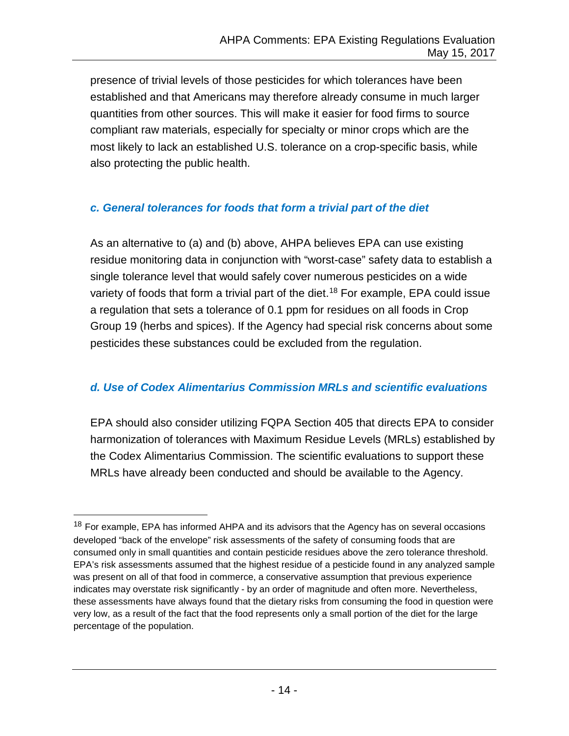presence of trivial levels of those pesticides for which tolerances have been established and that Americans may therefore already consume in much larger quantities from other sources. This will make it easier for food firms to source compliant raw materials, especially for specialty or minor crops which are the most likely to lack an established U.S. tolerance on a crop-specific basis, while also protecting the public health.

### <span id="page-15-0"></span>*c. General tolerances for foods that form a trivial part of the diet*

As an alternative to (a) and (b) above, AHPA believes EPA can use existing residue monitoring data in conjunction with "worst-case" safety data to establish a single tolerance level that would safely cover numerous pesticides on a wide variety of foods that form a trivial part of the diet.<sup>[18](#page-15-2)</sup> For example, EPA could issue a regulation that sets a tolerance of 0.1 ppm for residues on all foods in Crop Group 19 (herbs and spices). If the Agency had special risk concerns about some pesticides these substances could be excluded from the regulation.

### <span id="page-15-1"></span>*d. Use of Codex Alimentarius Commission MRLs and scientific evaluations*

EPA should also consider utilizing FQPA Section 405 that directs EPA to consider harmonization of tolerances with Maximum Residue Levels (MRLs) established by the Codex Alimentarius Commission. The scientific evaluations to support these MRLs have already been conducted and should be available to the Agency.

<span id="page-15-2"></span><sup>&</sup>lt;sup>18</sup> For example, EPA has informed AHPA and its advisors that the Agency has on several occasions developed "back of the envelope" risk assessments of the safety of consuming foods that are consumed only in small quantities and contain pesticide residues above the zero tolerance threshold. EPA's risk assessments assumed that the highest residue of a pesticide found in any analyzed sample was present on all of that food in commerce, a conservative assumption that previous experience indicates may overstate risk significantly - by an order of magnitude and often more. Nevertheless, these assessments have always found that the dietary risks from consuming the food in question were very low, as a result of the fact that the food represents only a small portion of the diet for the large percentage of the population.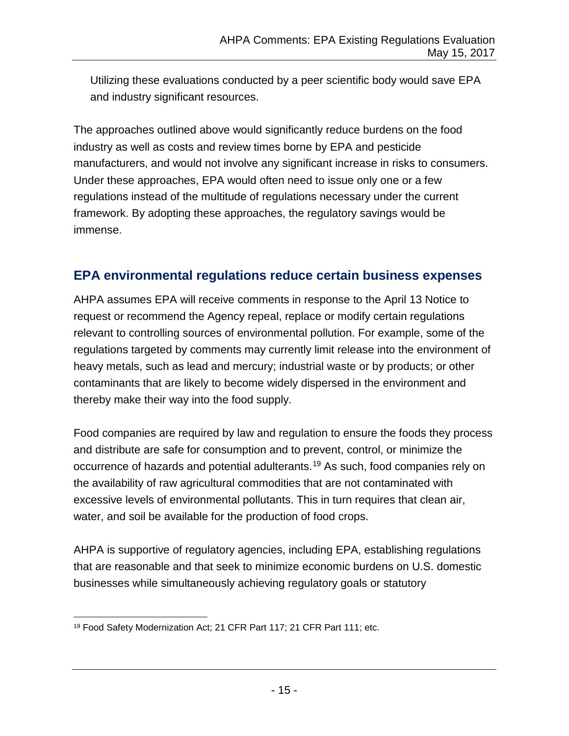Utilizing these evaluations conducted by a peer scientific body would save EPA and industry significant resources.

The approaches outlined above would significantly reduce burdens on the food industry as well as costs and review times borne by EPA and pesticide manufacturers, and would not involve any significant increase in risks to consumers. Under these approaches, EPA would often need to issue only one or a few regulations instead of the multitude of regulations necessary under the current framework. By adopting these approaches, the regulatory savings would be immense.

## <span id="page-16-0"></span>**EPA environmental regulations reduce certain business expenses**

AHPA assumes EPA will receive comments in response to the April 13 Notice to request or recommend the Agency repeal, replace or modify certain regulations relevant to controlling sources of environmental pollution. For example, some of the regulations targeted by comments may currently limit release into the environment of heavy metals, such as lead and mercury; industrial waste or by products; or other contaminants that are likely to become widely dispersed in the environment and thereby make their way into the food supply.

Food companies are required by law and regulation to ensure the foods they process and distribute are safe for consumption and to prevent, control, or minimize the occurrence of hazards and potential adulterants.[19](#page-16-1) As such, food companies rely on the availability of raw agricultural commodities that are not contaminated with excessive levels of environmental pollutants. This in turn requires that clean air, water, and soil be available for the production of food crops.

AHPA is supportive of regulatory agencies, including EPA, establishing regulations that are reasonable and that seek to minimize economic burdens on U.S. domestic businesses while simultaneously achieving regulatory goals or statutory

<span id="page-16-1"></span> <sup>19</sup> Food Safety Modernization Act; 21 CFR Part 117; 21 CFR Part 111; etc.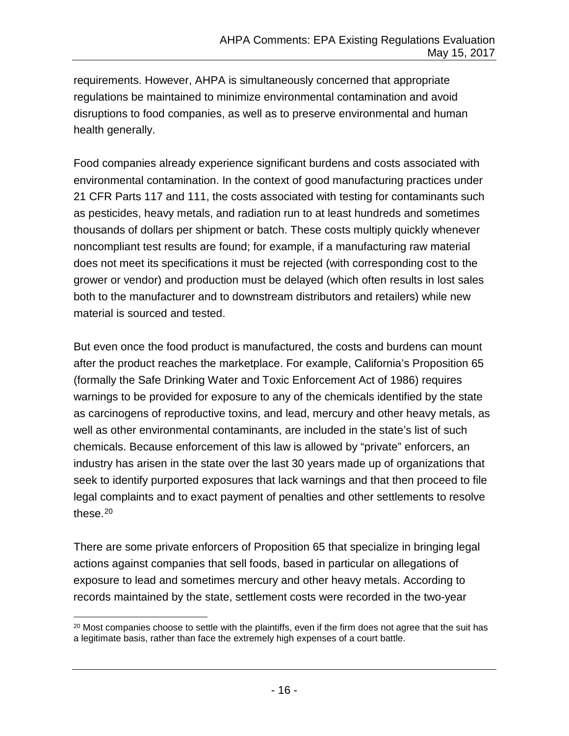requirements. However, AHPA is simultaneously concerned that appropriate regulations be maintained to minimize environmental contamination and avoid disruptions to food companies, as well as to preserve environmental and human health generally.

Food companies already experience significant burdens and costs associated with environmental contamination. In the context of good manufacturing practices under 21 CFR Parts 117 and 111, the costs associated with testing for contaminants such as pesticides, heavy metals, and radiation run to at least hundreds and sometimes thousands of dollars per shipment or batch. These costs multiply quickly whenever noncompliant test results are found; for example, if a manufacturing raw material does not meet its specifications it must be rejected (with corresponding cost to the grower or vendor) and production must be delayed (which often results in lost sales both to the manufacturer and to downstream distributors and retailers) while new material is sourced and tested.

But even once the food product is manufactured, the costs and burdens can mount after the product reaches the marketplace. For example, California's Proposition 65 (formally the Safe Drinking Water and Toxic Enforcement Act of 1986) requires warnings to be provided for exposure to any of the chemicals identified by the state as carcinogens of reproductive toxins, and lead, mercury and other heavy metals, as well as other environmental contaminants, are included in the state's list of such chemicals. Because enforcement of this law is allowed by "private" enforcers, an industry has arisen in the state over the last 30 years made up of organizations that seek to identify purported exposures that lack warnings and that then proceed to file legal complaints and to exact payment of penalties and other settlements to resolve these. $20$ 

There are some private enforcers of Proposition 65 that specialize in bringing legal actions against companies that sell foods, based in particular on allegations of exposure to lead and sometimes mercury and other heavy metals. According to records maintained by the state, settlement costs were recorded in the two-year

<span id="page-17-0"></span> $20$  Most companies choose to settle with the plaintiffs, even if the firm does not agree that the suit has a legitimate basis, rather than face the extremely high expenses of a court battle.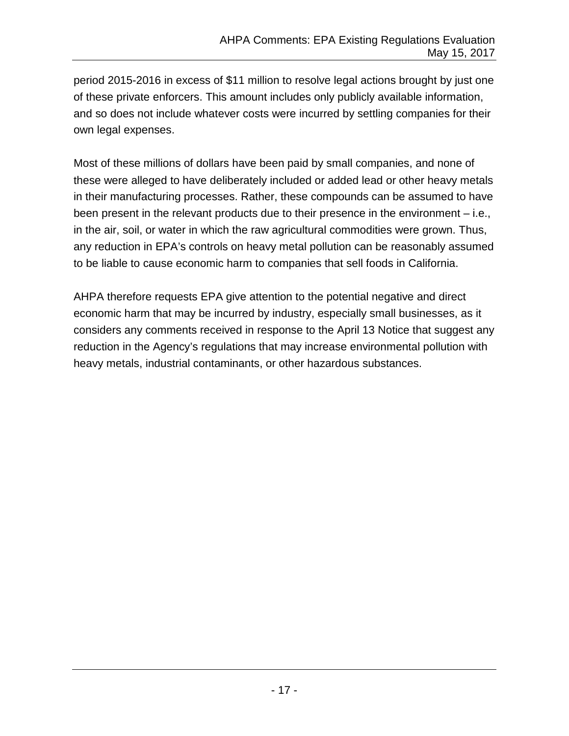period 2015-2016 in excess of \$11 million to resolve legal actions brought by just one of these private enforcers. This amount includes only publicly available information, and so does not include whatever costs were incurred by settling companies for their own legal expenses.

Most of these millions of dollars have been paid by small companies, and none of these were alleged to have deliberately included or added lead or other heavy metals in their manufacturing processes. Rather, these compounds can be assumed to have been present in the relevant products due to their presence in the environment – i.e., in the air, soil, or water in which the raw agricultural commodities were grown. Thus, any reduction in EPA's controls on heavy metal pollution can be reasonably assumed to be liable to cause economic harm to companies that sell foods in California.

AHPA therefore requests EPA give attention to the potential negative and direct economic harm that may be incurred by industry, especially small businesses, as it considers any comments received in response to the April 13 Notice that suggest any reduction in the Agency's regulations that may increase environmental pollution with heavy metals, industrial contaminants, or other hazardous substances.